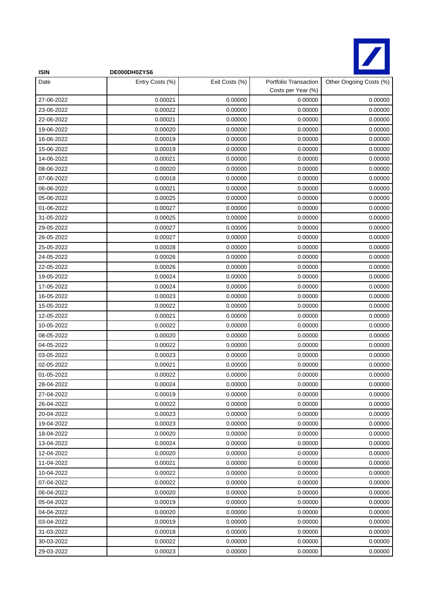

| <b>ISIN</b>              | DE000DH0ZYS6       |                    |                                             |                         |
|--------------------------|--------------------|--------------------|---------------------------------------------|-------------------------|
| Date                     | Entry Costs (%)    | Exit Costs (%)     | Portfolio Transaction<br>Costs per Year (%) | Other Ongoing Costs (%) |
| 27-06-2022               | 0.00021            | 0.00000            | 0.00000                                     | 0.00000                 |
| 23-06-2022               | 0.00022            | 0.00000            | 0.00000                                     | 0.00000                 |
| 22-06-2022               | 0.00021            | 0.00000            | 0.00000                                     | 0.00000                 |
| 19-06-2022               | 0.00020            | 0.00000            | 0.00000                                     | 0.00000                 |
| 16-06-2022               | 0.00019            | 0.00000            | 0.00000                                     | 0.00000                 |
| 15-06-2022               | 0.00019            | 0.00000            | 0.00000                                     | 0.00000                 |
| 14-06-2022               | 0.00021            | 0.00000            | 0.00000                                     | 0.00000                 |
| 08-06-2022               | 0.00020            | 0.00000            | 0.00000                                     | 0.00000                 |
| 07-06-2022               | 0.00018            | 0.00000            | 0.00000                                     | 0.00000                 |
| 06-06-2022               | 0.00021            | 0.00000            | 0.00000                                     | 0.00000                 |
| 05-06-2022               | 0.00025            | 0.00000            | 0.00000                                     | 0.00000                 |
| 01-06-2022               | 0.00027            | 0.00000            | 0.00000                                     | 0.00000                 |
| 31-05-2022               | 0.00025            | 0.00000            | 0.00000                                     | 0.00000                 |
| 29-05-2022               | 0.00027            | 0.00000            | 0.00000                                     | 0.00000                 |
| 26-05-2022               | 0.00027            | 0.00000            | 0.00000                                     | 0.00000                 |
| 25-05-2022               | 0.00028            | 0.00000            | 0.00000                                     | 0.00000                 |
| 24-05-2022               | 0.00026            | 0.00000            | 0.00000                                     | 0.00000                 |
| 22-05-2022               | 0.00026            | 0.00000            | 0.00000                                     | 0.00000                 |
| 19-05-2022               | 0.00024            | 0.00000            | 0.00000                                     | 0.00000                 |
| 17-05-2022               | 0.00024            | 0.00000            | 0.00000                                     | 0.00000                 |
| 16-05-2022               | 0.00023            | 0.00000            | 0.00000                                     | 0.00000                 |
| 15-05-2022               | 0.00022            | 0.00000            | 0.00000                                     | 0.00000                 |
| 12-05-2022               | 0.00021            | 0.00000            | 0.00000                                     | 0.00000                 |
| 10-05-2022               | 0.00022            | 0.00000            | 0.00000                                     | 0.00000                 |
| 08-05-2022               | 0.00020            | 0.00000            | 0.00000                                     | 0.00000                 |
| 04-05-2022               | 0.00022            | 0.00000            | 0.00000                                     | 0.00000                 |
| 03-05-2022               | 0.00023            | 0.00000            | 0.00000                                     | 0.00000                 |
| 02-05-2022               | 0.00021            | 0.00000            | 0.00000                                     | 0.00000                 |
| 01-05-2022               | 0.00022            | 0.00000            | 0.00000                                     | 0.00000                 |
| 28-04-2022               | 0.00024            | 0.00000            | 0.00000                                     | 0.00000                 |
| 27-04-2022               | 0.00019            | 0.00000            | 0.00000                                     | 0.00000                 |
| 26-04-2022               | 0.00022            | 0.00000            | 0.00000                                     | 0.00000                 |
| 20-04-2022               | 0.00023            | 0.00000            | 0.00000                                     | 0.00000                 |
| 19-04-2022               | 0.00023<br>0.00020 | 0.00000<br>0.00000 | 0.00000<br>0.00000                          | 0.00000                 |
| 18-04-2022               |                    |                    |                                             | 0.00000                 |
| 13-04-2022<br>12-04-2022 | 0.00024<br>0.00020 | 0.00000<br>0.00000 | 0.00000<br>0.00000                          | 0.00000<br>0.00000      |
| 11-04-2022               | 0.00021            | 0.00000            | 0.00000                                     | 0.00000                 |
| 10-04-2022               | 0.00022            | 0.00000            | 0.00000                                     | 0.00000                 |
| 07-04-2022               | 0.00022            | 0.00000            | 0.00000                                     | 0.00000                 |
| 06-04-2022               | 0.00020            | 0.00000            | 0.00000                                     | 0.00000                 |
| 05-04-2022               | 0.00019            | 0.00000            | 0.00000                                     | 0.00000                 |
| 04-04-2022               | 0.00020            | 0.00000            | 0.00000                                     | 0.00000                 |
| 03-04-2022               | 0.00019            | 0.00000            | 0.00000                                     | 0.00000                 |
| 31-03-2022               | 0.00018            | 0.00000            | 0.00000                                     | 0.00000                 |
| 30-03-2022               | 0.00022            | 0.00000            | 0.00000                                     | 0.00000                 |
| 29-03-2022               | 0.00023            | 0.00000            | 0.00000                                     | 0.00000                 |
|                          |                    |                    |                                             |                         |